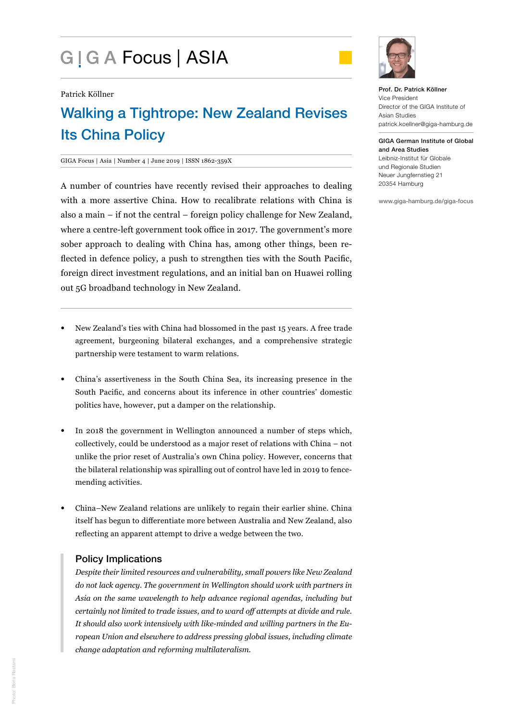# G | G A Focus | ASIA



Patrick Köllner

# Walking a Tightrope: New Zealand Revises Its China Policy

#### GIGA Focus | Asia | Number 4 | June 2019 | ISSN 1862-359X

A number of countries have recently revised their approaches to dealing with a more assertive China. How to recalibrate relations with China is also a main – if not the central – foreign policy challenge for New Zealand, where a centre-left government took office in 2017. The government's more sober approach to dealing with China has, among other things, been reflected in defence policy, a push to strengthen ties with the South Pacific, foreign direct investment regulations, and an initial ban on Huawei rolling out 5G broadband technology in New Zealand.

- New Zealand's ties with China had blossomed in the past 15 years. A free trade agreement, burgeoning bilateral exchanges, and a comprehensive strategic partnership were testament to warm relations.
- China's assertiveness in the South China Sea, its increasing presence in the South Pacific, and concerns about its inference in other countries' domestic politics have, however, put a damper on the relationship.
- In 2018 the government in Wellington announced a number of steps which, collectively, could be understood as a major reset of relations with China – not unlike the prior reset of Australia's own China policy. However, concerns that the bilateral relationship was spiralling out of control have led in 2019 to fencemending activities.
- China–New Zealand relations are unlikely to regain their earlier shine. China itself has begun to differentiate more between Australia and New Zealand, also reflecting an apparent attempt to drive a wedge between the two.

# Policy Implications

*Despite their limited resources and vulnerability, small powers like New Zealand do not lack agency. The government in Wellington should work with partners in Asia on the same wavelength to help advance regional agendas, including but certainly not limited to trade issues, and to ward off attempts at divide and rule. It should also work intensively with like-minded and willing partners in the European Union and elsewhere to address pressing global issues, including climate change adaptation and reforming multilateralism.*

GIGA German Institute of Global and Area Studies Leibniz-Institut für Globale und Regionale Studien Neuer Jungfernstieg 21 20354 Hamburg

www.giga-hamburg.de/giga-focus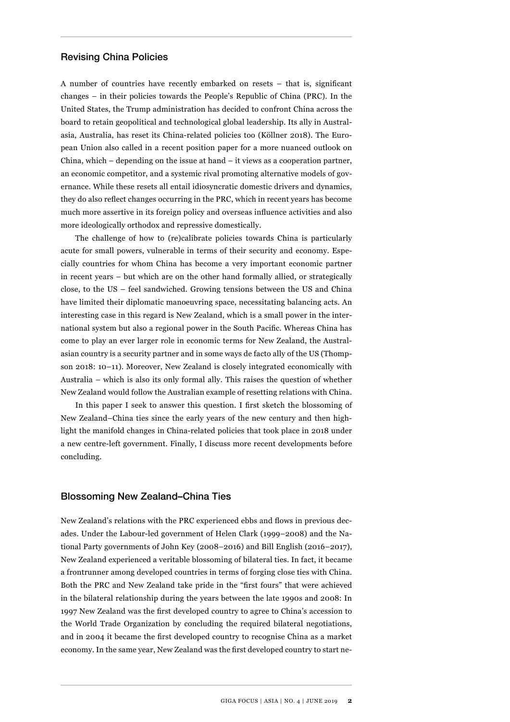#### Revising China Policies

A number of countries have recently embarked on resets – that is, significant changes – in their policies towards the People's Republic of China (PRC). In the United States, the Trump administration has decided to confront China across the board to retain geopolitical and technological global leadership. Its ally in Australasia, Australia, has reset its China-related policies too (Köllner 2018). The European Union also called in a recent position paper for a more nuanced outlook on China, which  $-$  depending on the issue at hand  $-$  it views as a cooperation partner, an economic competitor, and a systemic rival promoting alternative models of governance. While these resets all entail idiosyncratic domestic drivers and dynamics, they do also reflect changes occurring in the PRC, which in recent years has become much more assertive in its foreign policy and overseas influence activities and also more ideologically orthodox and repressive domestically.

The challenge of how to (re)calibrate policies towards China is particularly acute for small powers, vulnerable in terms of their security and economy. Especially countries for whom China has become a very important economic partner in recent years – but which are on the other hand formally allied, or strategically close, to the US – feel sandwiched. Growing tensions between the US and China have limited their diplomatic manoeuvring space, necessitating balancing acts. An interesting case in this regard is New Zealand, which is a small power in the international system but also a regional power in the South Pacific. Whereas China has come to play an ever larger role in economic terms for New Zealand, the Australasian country is a security partner and in some ways de facto ally of the US (Thompson 2018: 10–11). Moreover, New Zealand is closely integrated economically with Australia – which is also its only formal ally. This raises the question of whether New Zealand would follow the Australian example of resetting relations with China.

In this paper I seek to answer this question. I first sketch the blossoming of New Zealand–China ties since the early years of the new century and then highlight the manifold changes in China-related policies that took place in 2018 under a new centre-left government. Finally, I discuss more recent developments before concluding.

#### Blossoming New Zealand–China Ties

New Zealand's relations with the PRC experienced ebbs and flows in previous decades. Under the Labour-led government of Helen Clark (1999–2008) and the National Party governments of John Key (2008–2016) and Bill English (2016–2017), New Zealand experienced a veritable blossoming of bilateral ties. In fact, it became a frontrunner among developed countries in terms of forging close ties with China. Both the PRC and New Zealand take pride in the "first fours" that were achieved in the bilateral relationship during the years between the late 1990s and 2008: In 1997 New Zealand was the first developed country to agree to China's accession to the World Trade Organization by concluding the required bilateral negotiations, and in 2004 it became the first developed country to recognise China as a market economy. In the same year, New Zealand was the first developed country to start ne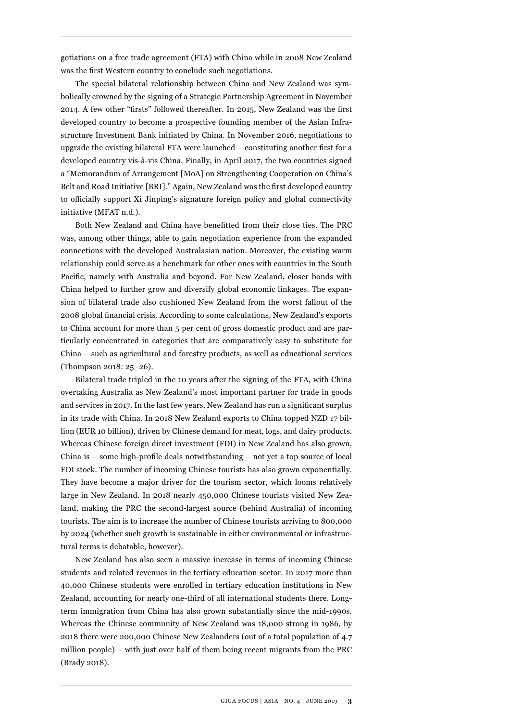gotiations on a free trade agreement (FTA) with China while in 2008 New Zealand was the first Western country to conclude such negotiations.

The special bilateral relationship between China and New Zealand was symbolically crowned by the signing of a Strategic Partnership Agreement in November 2014. A few other "firsts" followed thereafter. In 2015, New Zealand was the first developed country to become a prospective founding member of the Asian Infrastructure Investment Bank initiated by China. In November 2016, negotiations to upgrade the existing bilateral FTA were launched – constituting another first for a developed country vis-à-vis China. Finally, in April 2017, the two countries signed a "Memorandum of Arrangement [MoA] on Strengthening Cooperation on China's Belt and Road Initiative [BRI]." Again, New Zealand was the first developed country to officially support Xi Jinping's signature foreign policy and global connectivity initiative (MFAT n.d.).

Both New Zealand and China have benefitted from their close ties. The PRC was, among other things, able to gain negotiation experience from the expanded connections with the developed Australasian nation. Moreover, the existing warm relationship could serve as a benchmark for other ones with countries in the South Pacific, namely with Australia and beyond. For New Zealand, closer bonds with China helped to further grow and diversify global economic linkages. The expansion of bilateral trade also cushioned New Zealand from the worst fallout of the 2008 global financial crisis. According to some calculations, New Zealand's exports to China account for more than 5 per cent of gross domestic product and are particularly concentrated in categories that are comparatively easy to substitute for China – such as agricultural and forestry products, as well as educational services (Thompson 2018: 25–26).

Bilateral trade tripled in the 10 years after the signing of the FTA, with China overtaking Australia as New Zealand's most important partner for trade in goods and services in 2017. In the last few years, New Zealand has run a significant surplus in its trade with China. In 2018 New Zealand exports to China topped NZD 17 billion (EUR 10 billion), driven by Chinese demand for meat, logs, and dairy products. Whereas Chinese foreign direct investment (FDI) in New Zealand has also grown, China is – some high-profile deals notwithstanding – not yet a top source of local FDI stock. The number of incoming Chinese tourists has also grown exponentially. They have become a major driver for the tourism sector, which looms relatively large in New Zealand. In 2018 nearly 450,000 Chinese tourists visited New Zealand, making the PRC the second-largest source (behind Australia) of incoming tourists. The aim is to increase the number of Chinese tourists arriving to 800,000 by 2024 (whether such growth is sustainable in either environmental or infrastructural terms is debatable, however).

New Zealand has also seen a massive increase in terms of incoming Chinese students and related revenues in the tertiary education sector. In 2017 more than 40,000 Chinese students were enrolled in tertiary education institutions in New Zealand, accounting for nearly one-third of all international students there. Longterm immigration from China has also grown substantially since the mid-1990s. Whereas the Chinese community of New Zealand was 18,000 strong in 1986, by 2018 there were 200,000 Chinese New Zealanders (out of a total population of 4.7 million people) – with just over half of them being recent migrants from the PRC (Brady 2018).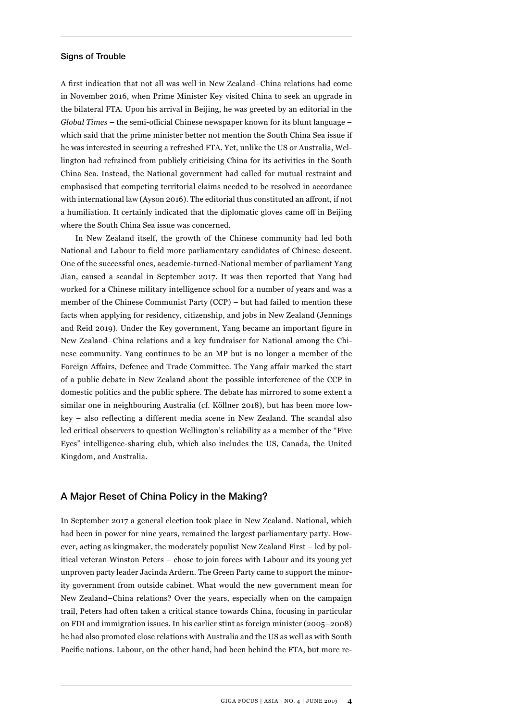#### Signs of Trouble

A first indication that not all was well in New Zealand–China relations had come in November 2016, when Prime Minister Key visited China to seek an upgrade in the bilateral FTA. Upon his arrival in Beijing, he was greeted by an editorial in the *Global Times* – the semi-official Chinese newspaper known for its blunt language – which said that the prime minister better not mention the South China Sea issue if he was interested in securing a refreshed FTA. Yet, unlike the US or Australia, Wellington had refrained from publicly criticising China for its activities in the South China Sea. Instead, the National government had called for mutual restraint and emphasised that competing territorial claims needed to be resolved in accordance with international law (Ayson 2016). The editorial thus constituted an affront, if not a humiliation. It certainly indicated that the diplomatic gloves came off in Beijing where the South China Sea issue was concerned.

In New Zealand itself, the growth of the Chinese community had led both National and Labour to field more parliamentary candidates of Chinese descent. One of the successful ones, academic-turned-National member of parliament Yang Jian, caused a scandal in September 2017. It was then reported that Yang had worked for a Chinese military intelligence school for a number of years and was a member of the Chinese Communist Party (CCP) – but had failed to mention these facts when applying for residency, citizenship, and jobs in New Zealand (Jennings and Reid 2019). Under the Key government, Yang became an important figure in New Zealand–China relations and a key fundraiser for National among the Chinese community. Yang continues to be an MP but is no longer a member of the Foreign Affairs, Defence and Trade Committee. The Yang affair marked the start of a public debate in New Zealand about the possible interference of the CCP in domestic politics and the public sphere. The debate has mirrored to some extent a similar one in neighbouring Australia (cf. Köllner 2018), but has been more lowkey – also reflecting a different media scene in New Zealand. The scandal also led critical observers to question Wellington's reliability as a member of the "Five Eyes" intelligence-sharing club, which also includes the US, Canada, the United Kingdom, and Australia.

### A Major Reset of China Policy in the Making?

In September 2017 a general election took place in New Zealand. National, which had been in power for nine years, remained the largest parliamentary party. However, acting as kingmaker, the moderately populist New Zealand First – led by political veteran Winston Peters – chose to join forces with Labour and its young yet unproven party leader Jacinda Ardern. The Green Party came to support the minority government from outside cabinet. What would the new government mean for New Zealand–China relations? Over the years, especially when on the campaign trail, Peters had often taken a critical stance towards China, focusing in particular on FDI and immigration issues. In his earlier stint as foreign minister (2005–2008) he had also promoted close relations with Australia and the US as well as with South Pacific nations. Labour, on the other hand, had been behind the FTA, but more re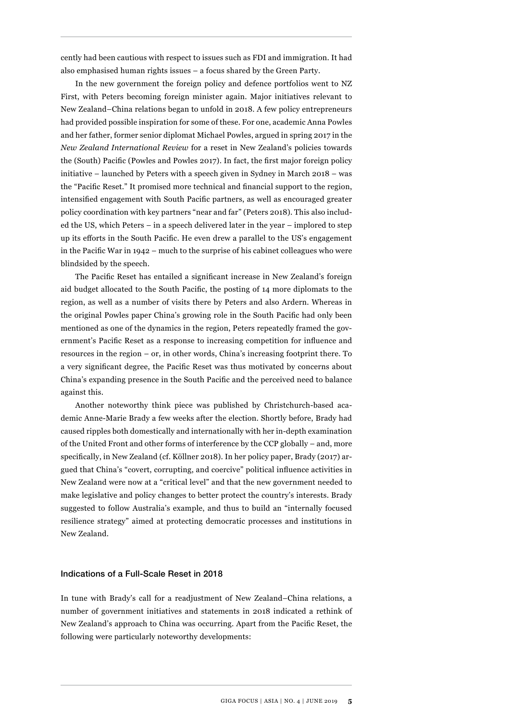cently had been cautious with respect to issues such as FDI and immigration. It had also emphasised human rights issues – a focus shared by the Green Party.

In the new government the foreign policy and defence portfolios went to NZ First, with Peters becoming foreign minister again. Major initiatives relevant to New Zealand–China relations began to unfold in 2018. A few policy entrepreneurs had provided possible inspiration for some of these. For one, academic Anna Powles and her father, former senior diplomat Michael Powles, argued in spring 2017 in the *New Zealand International Review* for a reset in New Zealand's policies towards the (South) Pacific (Powles and Powles 2017). In fact, the first major foreign policy initiative – launched by Peters with a speech given in Sydney in March 2018 – was the "Pacific Reset." It promised more technical and financial support to the region, intensified engagement with South Pacific partners, as well as encouraged greater policy coordination with key partners "near and far" (Peters 2018). This also included the US, which Peters – in a speech delivered later in the year – implored to step up its efforts in the South Pacific. He even drew a parallel to the US's engagement in the Pacific War in 1942 – much to the surprise of his cabinet colleagues who were blindsided by the speech.

The Pacific Reset has entailed a significant increase in New Zealand's foreign aid budget allocated to the South Pacific, the posting of 14 more diplomats to the region, as well as a number of visits there by Peters and also Ardern. Whereas in the original Powles paper China's growing role in the South Pacific had only been mentioned as one of the dynamics in the region, Peters repeatedly framed the government's Pacific Reset as a response to increasing competition for influence and resources in the region – or, in other words, China's increasing footprint there. To a very significant degree, the Pacific Reset was thus motivated by concerns about China's expanding presence in the South Pacific and the perceived need to balance against this.

Another noteworthy think piece was published by Christchurch-based academic Anne-Marie Brady a few weeks after the election. Shortly before, Brady had caused ripples both domestically and internationally with her in-depth examination of the United Front and other forms of interference by the CCP globally – and, more specifically, in New Zealand (cf. Köllner 2018). In her policy paper, Brady (2017) argued that China's "covert, corrupting, and coercive" political influence activities in New Zealand were now at a "critical level" and that the new government needed to make legislative and policy changes to better protect the country's interests. Brady suggested to follow Australia's example, and thus to build an "internally focused resilience strategy" aimed at protecting democratic processes and institutions in New Zealand.

#### Indications of a Full-Scale Reset in 2018

In tune with Brady's call for a readjustment of New Zealand–China relations, a number of government initiatives and statements in 2018 indicated a rethink of New Zealand's approach to China was occurring. Apart from the Pacific Reset, the following were particularly noteworthy developments: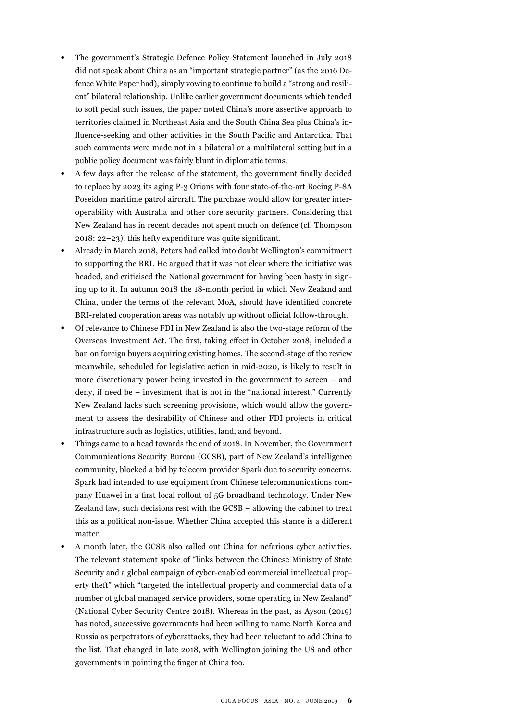- The government's Strategic Defence Policy Statement launched in July 2018 did not speak about China as an "important strategic partner" (as the 2016 Defence White Paper had), simply vowing to continue to build a "strong and resilient" bilateral relationship. Unlike earlier government documents which tended to soft pedal such issues, the paper noted China's more assertive approach to territories claimed in Northeast Asia and the South China Sea plus China's influence-seeking and other activities in the South Pacific and Antarctica. That such comments were made not in a bilateral or a multilateral setting but in a public policy document was fairly blunt in diplomatic terms.
- A few days after the release of the statement, the government finally decided to replace by 2023 its aging P-3 Orions with four state-of-the-art Boeing P-8A Poseidon maritime patrol aircraft. The purchase would allow for greater interoperability with Australia and other core security partners. Considering that New Zealand has in recent decades not spent much on defence (cf. Thompson 2018: 22–23), this hefty expenditure was quite significant.
- Already in March 2018, Peters had called into doubt Wellington's commitment to supporting the BRI. He argued that it was not clear where the initiative was headed, and criticised the National government for having been hasty in signing up to it. In autumn 2018 the 18-month period in which New Zealand and China, under the terms of the relevant MoA, should have identified concrete BRI-related cooperation areas was notably up without official follow-through.
- Of relevance to Chinese FDI in New Zealand is also the two-stage reform of the Overseas Investment Act. The first, taking effect in October 2018, included a ban on foreign buyers acquiring existing homes. The second-stage of the review meanwhile, scheduled for legislative action in mid-2020, is likely to result in more discretionary power being invested in the government to screen – and deny, if need be – investment that is not in the "national interest." Currently New Zealand lacks such screening provisions, which would allow the government to assess the desirability of Chinese and other FDI projects in critical infrastructure such as logistics, utilities, land, and beyond.
- Things came to a head towards the end of 2018. In November, the Government Communications Security Bureau (GCSB), part of New Zealand's intelligence community, blocked a bid by telecom provider Spark due to security concerns. Spark had intended to use equipment from Chinese telecommunications company Huawei in a first local rollout of 5G broadband technology. Under New Zealand law, such decisions rest with the GCSB – allowing the cabinet to treat this as a political non-issue. Whether China accepted this stance is a different matter.
- A month later, the GCSB also called out China for nefarious cyber activities. The relevant statement spoke of "links between the Chinese Ministry of State Security and a global campaign of cyber-enabled commercial intellectual property theft" which "targeted the intellectual property and commercial data of a number of global managed service providers, some operating in New Zealand" (National Cyber Security Centre 2018). Whereas in the past, as Ayson (2019) has noted, successive governments had been willing to name North Korea and Russia as perpetrators of cyberattacks, they had been reluctant to add China to the list. That changed in late 2018, with Wellington joining the US and other governments in pointing the finger at China too.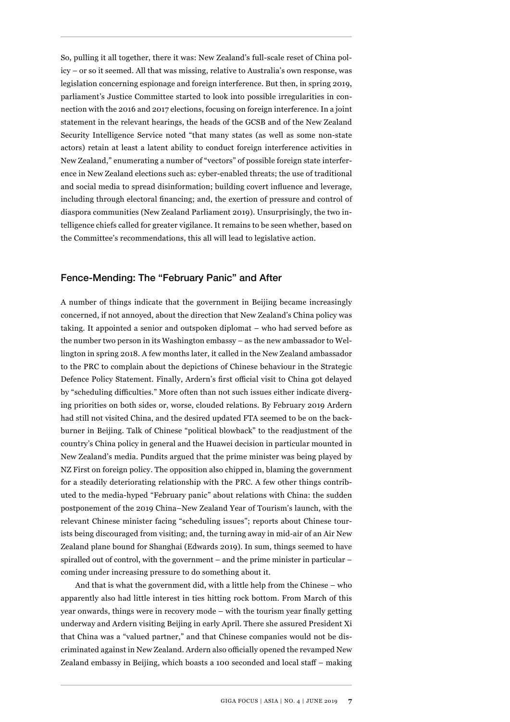So, pulling it all together, there it was: New Zealand's full-scale reset of China policy – or so it seemed. All that was missing, relative to Australia's own response, was legislation concerning espionage and foreign interference. But then, in spring 2019, parliament's Justice Committee started to look into possible irregularities in connection with the 2016 and 2017 elections, focusing on foreign interference. In a joint statement in the relevant hearings, the heads of the GCSB and of the New Zealand Security Intelligence Service noted "that many states (as well as some non-state actors) retain at least a latent ability to conduct foreign interference activities in New Zealand," enumerating a number of "vectors" of possible foreign state interference in New Zealand elections such as: cyber-enabled threats; the use of traditional and social media to spread disinformation; building covert influence and leverage, including through electoral financing; and, the exertion of pressure and control of diaspora communities (New Zealand Parliament 2019). Unsurprisingly, the two intelligence chiefs called for greater vigilance. It remains to be seen whether, based on the Committee's recommendations, this all will lead to legislative action.

# Fence-Mending: The "February Panic" and After

A number of things indicate that the government in Beijing became increasingly concerned, if not annoyed, about the direction that New Zealand's China policy was taking. It appointed a senior and outspoken diplomat – who had served before as the number two person in its Washington embassy – as the new ambassador to Wellington in spring 2018. A few months later, it called in the New Zealand ambassador to the PRC to complain about the depictions of Chinese behaviour in the Strategic Defence Policy Statement. Finally, Ardern's first official visit to China got delayed by "scheduling difficulties." More often than not such issues either indicate diverging priorities on both sides or, worse, clouded relations. By February 2019 Ardern had still not visited China, and the desired updated FTA seemed to be on the backburner in Beijing. Talk of Chinese "political blowback" to the readjustment of the country's China policy in general and the Huawei decision in particular mounted in New Zealand's media. Pundits argued that the prime minister was being played by NZ First on foreign policy. The opposition also chipped in, blaming the government for a steadily deteriorating relationship with the PRC. A few other things contributed to the media-hyped "February panic" about relations with China: the sudden postponement of the 2019 China–New Zealand Year of Tourism's launch, with the relevant Chinese minister facing "scheduling issues"; reports about Chinese tourists being discouraged from visiting; and, the turning away in mid-air of an Air New Zealand plane bound for Shanghai (Edwards 2019). In sum, things seemed to have spiralled out of control, with the government – and the prime minister in particular – coming under increasing pressure to do something about it.

And that is what the government did, with a little help from the Chinese – who apparently also had little interest in ties hitting rock bottom. From March of this year onwards, things were in recovery mode – with the tourism year finally getting underway and Ardern visiting Beijing in early April. There she assured President Xi that China was a "valued partner," and that Chinese companies would not be discriminated against in New Zealand. Ardern also officially opened the revamped New Zealand embassy in Beijing, which boasts a 100 seconded and local staff – making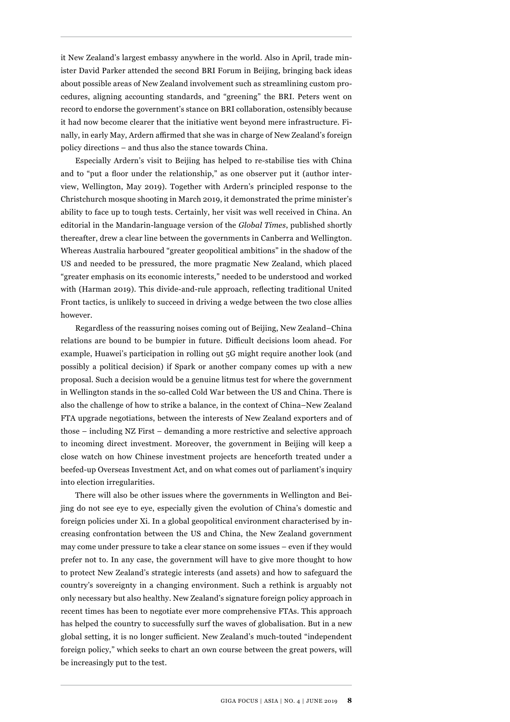it New Zealand's largest embassy anywhere in the world. Also in April, trade minister David Parker attended the second BRI Forum in Beijing, bringing back ideas about possible areas of New Zealand involvement such as streamlining custom procedures, aligning accounting standards, and "greening" the BRI. Peters went on record to endorse the government's stance on BRI collaboration, ostensibly because it had now become clearer that the initiative went beyond mere infrastructure. Finally, in early May, Ardern affirmed that she was in charge of New Zealand's foreign policy directions – and thus also the stance towards China.

Especially Ardern's visit to Beijing has helped to re-stabilise ties with China and to "put a floor under the relationship," as one observer put it (author interview, Wellington, May 2019). Together with Ardern's principled response to the Christchurch mosque shooting in March 2019, it demonstrated the prime minister's ability to face up to tough tests. Certainly, her visit was well received in China. An editorial in the Mandarin-language version of the *Global Times*, published shortly thereafter, drew a clear line between the governments in Canberra and Wellington. Whereas Australia harboured "greater geopolitical ambitions" in the shadow of the US and needed to be pressured, the more pragmatic New Zealand, which placed "greater emphasis on its economic interests," needed to be understood and worked with (Harman 2019). This divide-and-rule approach, reflecting traditional United Front tactics, is unlikely to succeed in driving a wedge between the two close allies however.

Regardless of the reassuring noises coming out of Beijing, New Zealand–China relations are bound to be bumpier in future. Difficult decisions loom ahead. For example, Huawei's participation in rolling out 5G might require another look (and possibly a political decision) if Spark or another company comes up with a new proposal. Such a decision would be a genuine litmus test for where the government in Wellington stands in the so-called Cold War between the US and China. There is also the challenge of how to strike a balance, in the context of China–New Zealand FTA upgrade negotiations, between the interests of New Zealand exporters and of those – including NZ First – demanding a more restrictive and selective approach to incoming direct investment. Moreover, the government in Beijing will keep a close watch on how Chinese investment projects are henceforth treated under a beefed-up Overseas Investment Act, and on what comes out of parliament's inquiry into election irregularities.

There will also be other issues where the governments in Wellington and Beijing do not see eye to eye, especially given the evolution of China's domestic and foreign policies under Xi. In a global geopolitical environment characterised by increasing confrontation between the US and China, the New Zealand government may come under pressure to take a clear stance on some issues – even if they would prefer not to. In any case, the government will have to give more thought to how to protect New Zealand's strategic interests (and assets) and how to safeguard the country's sovereignty in a changing environment. Such a rethink is arguably not only necessary but also healthy. New Zealand's signature foreign policy approach in recent times has been to negotiate ever more comprehensive FTAs. This approach has helped the country to successfully surf the waves of globalisation. But in a new global setting, it is no longer sufficient. New Zealand's much-touted "independent foreign policy," which seeks to chart an own course between the great powers, will be increasingly put to the test.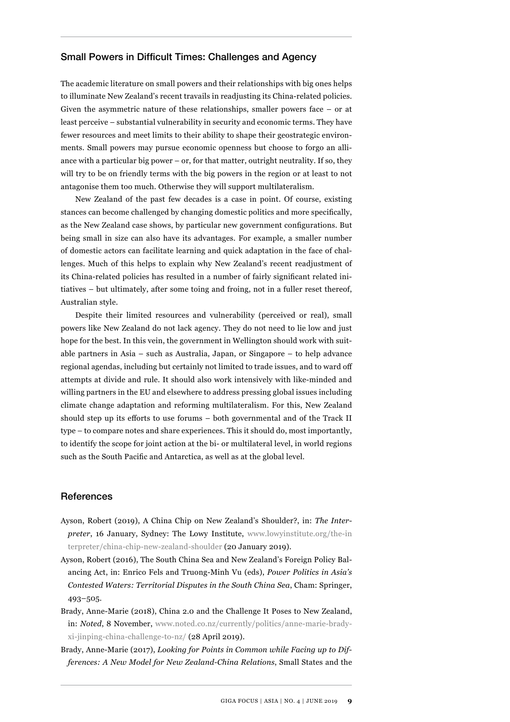#### Small Powers in Difficult Times: Challenges and Agency

The academic literature on small powers and their relationships with big ones helps to illuminate New Zealand's recent travails in readjusting its China-related policies. Given the asymmetric nature of these relationships, smaller powers face – or at least perceive – substantial vulnerability in security and economic terms. They have fewer resources and meet limits to their ability to shape their geostrategic environments. Small powers may pursue economic openness but choose to forgo an alliance with a particular big power – or, for that matter, outright neutrality. If so, they will try to be on friendly terms with the big powers in the region or at least to not antagonise them too much. Otherwise they will support multilateralism.

New Zealand of the past few decades is a case in point. Of course, existing stances can become challenged by changing domestic politics and more specifically, as the New Zealand case shows, by particular new government configurations. But being small in size can also have its advantages. For example, a smaller number of domestic actors can facilitate learning and quick adaptation in the face of challenges. Much of this helps to explain why New Zealand's recent readjustment of its China-related policies has resulted in a number of fairly significant related initiatives – but ultimately, after some toing and froing, not in a fuller reset thereof, Australian style.

Despite their limited resources and vulnerability (perceived or real), small powers like New Zealand do not lack agency. They do not need to lie low and just hope for the best. In this vein, the government in Wellington should work with suitable partners in Asia – such as Australia, Japan, or Singapore – to help advance regional agendas, including but certainly not limited to trade issues, and to ward off attempts at divide and rule. It should also work intensively with like-minded and willing partners in the EU and elsewhere to address pressing global issues including climate change adaptation and reforming multilateralism. For this, New Zealand should step up its efforts to use forums – both governmental and of the Track II type – to compare notes and share experiences. This it should do, most importantly, to identify the scope for joint action at the bi- or multilateral level, in world regions such as the South Pacific and Antarctica, as well as at the global level.

#### **References**

- Ayson, Robert (2019), A China Chip on New Zealand's Shoulder?, in: *The Interpreter*, 16 January, Sydney: The Lowy Institute, [www.lowyinstitute.org/the-in](http://www.lowyinstitute.org/the-interpreter/china-chip-new-zealand-shoulder)  [terpreter/china-chip-new-zealand-shoulder](http://www.lowyinstitute.org/the-interpreter/china-chip-new-zealand-shoulder) (20 January 2019).
- Ayson, Robert (2016), The South China Sea and New Zealand's Foreign Policy Balancing Act, in: Enrico Fels and Truong-Minh Vu (eds), *Power Politics in Asia's Contested Waters: Territorial Disputes in the South China Sea*, Cham: Springer, 493–505.
- Brady, Anne-Marie (2018), China 2.0 and the Challenge It Poses to New Zealand, in: *Noted*, 8 November, [www.noted.co.nz/currently/politics/anne-marie-brady](http://www.noted.co.nz/currently/politics/anne-marie-brady-xi-jinping-china-challenge-to-nz/)[xi-jinping-china-challenge-to-nz/](http://www.noted.co.nz/currently/politics/anne-marie-brady-xi-jinping-china-challenge-to-nz/) (28 April 2019).
- Brady, Anne-Marie (2017), *Looking for Points in Common while Facing up to Differences: A New Model for New Zealand-China Relations*, Small States and the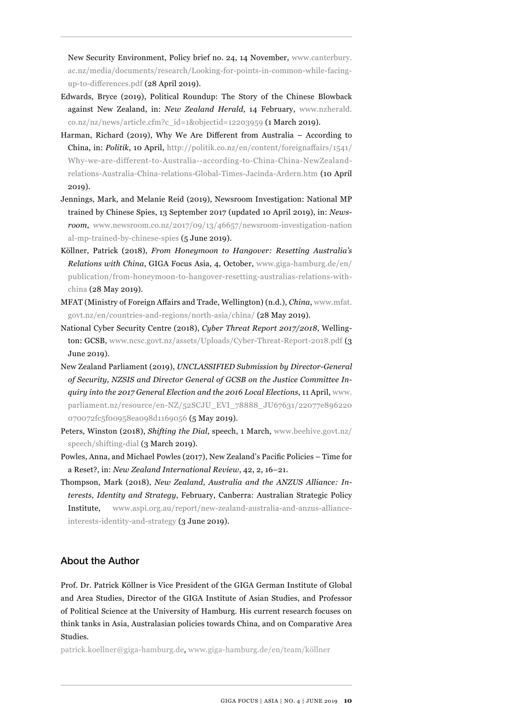New Security Environment, Policy brief no. 24, 14 November, [www.canterbury.](http://www.canterbury.ac.nz/media/documents/research/Looking-for-points-in-common-while-facing-up-to-differences.pdf) [ac.nz/media/documents/research/Looking-for-points-in-common-while-facing](http://www.canterbury.ac.nz/media/documents/research/Looking-for-points-in-common-while-facing-up-to-differences.pdf)[up-to-differences.pdf \(](http://www.canterbury.ac.nz/media/documents/research/Looking-for-points-in-common-while-facing-up-to-differences.pdf)28 April 2019).

- Edwards, Bryce (2019), Political Roundup: The Story of the Chinese Blowback against New Zealand, in: *New Zealand Herald*, 14 February, [www.nzherald.](http://www.nzherald.co.nz/nz/news/article.cfm?c_id=1&objectid=12203959) [co.nz/nz/news/article.cfm?c\\_id=1&objectid=12203959](http://www.nzherald.co.nz/nz/news/article.cfm?c_id=1&objectid=12203959) (1 March 2019).
- Harman, Richard (2019), Why We Are Different from Australia According to China, in: *Politik*, 10 April, [http://politik.co.nz/en/content/foreignaffairs/1541/](http://politik.co.nz/en/content/foreignaffairs/1541/Why-we-are-different-to-Australia--according-to-China-China-NewZealand-relations-Australia-China-relations-Global-Times-Jacinda-Ardern.htm) [Why-we-are-different-to-Australia--according-to-China-China-NewZealand](http://politik.co.nz/en/content/foreignaffairs/1541/Why-we-are-different-to-Australia--according-to-China-China-NewZealand-relations-Australia-China-relations-Global-Times-Jacinda-Ardern.htm)[relations-Australia-China-relations-Global-Times-Jacinda-Ardern.htm](http://politik.co.nz/en/content/foreignaffairs/1541/Why-we-are-different-to-Australia--according-to-China-China-NewZealand-relations-Australia-China-relations-Global-Times-Jacinda-Ardern.htm) (10 April 2019).
- Jennings, Mark, and Melanie Reid (2019), Newsroom Investigation: National MP trained by Chinese Spies, 13 September 2017 (updated 10 April 2019), in: *Newsroom*, [www.newsroom.co.nz/2017/09/13/46657/newsroom-investigation-nation](http://www.newsroom.co.nz/2017/09/13/46657/newsroom-investigation-national-mp-trained-by-chinese-spies) [al-mp-trained-by-chinese-spies](http://www.newsroom.co.nz/2017/09/13/46657/newsroom-investigation-national-mp-trained-by-chinese-spies) (5 June 2019).
- Köllner, Patrick (2018), *From Honeymoon to Hangover: Resetting Australia's Relations with China*, GIGA Focus Asia, 4, October, [www.giga-hamburg.de/en/](http://www.giga-hamburg.de/en/publication/from-honeymoon-to-hangover-resetting-australias-relations-with-china) [publication/from-honeymoon-to-hangover-resetting-australias-relations-with](http://www.giga-hamburg.de/en/publication/from-honeymoon-to-hangover-resetting-australias-relations-with-china)[china](http://www.giga-hamburg.de/en/publication/from-honeymoon-to-hangover-resetting-australias-relations-with-china) (28 May 2019).
- MFAT (Ministry of Foreign Affairs and Trade, Wellington) (n.d.), *China*, [www.mfat.](http://www.mfat.govt.nz/en/countries-and-regions/north-asia/china/) [govt.nz/en/countries-and-regions/north-asia/china/](http://www.mfat.govt.nz/en/countries-and-regions/north-asia/china/) (28 May 2019).
- National Cyber Security Centre (2018), *Cyber Threat Report 2017/2018*, Wellington: GCSB, [www.ncsc.govt.nz/assets/Uploads/Cyber-Threat-Report-2018.pdf](http://www.ncsc.govt.nz/assets/Uploads/Cyber-Threat-Report-2018.pdf) (3 June 2019).
- New Zealand Parliament (2019), *UNCLASSIFIED Submission by Director-General of Security, NZSIS and Director General of GCSB on the Justice Committee Inquiry into the 2017 General Election and the 2016 Local Elections*, 11 April, [www.](http://www.parliament.nz/resource/en-NZ/52SCJU_EVI_78888_JU67631/22077e896220070072fc5f00958ea098d1169056) [parliament.nz/resource/en-NZ/52SCJU\\_EVI\\_78888\\_JU67631/22077e896220](http://www.parliament.nz/resource/en-NZ/52SCJU_EVI_78888_JU67631/22077e896220070072fc5f00958ea098d1169056) [070072fc5f00958ea098d1169056](http://www.parliament.nz/resource/en-NZ/52SCJU_EVI_78888_JU67631/22077e896220070072fc5f00958ea098d1169056) (5 May 2019).
- Peters, Winston (2018), *Shifting the Dial*, speech, 1 March, [www.beehive.govt.nz/](http://www.beehive.govt.nz/speech/shifting-dial) [speech/shifting-dial](http://www.beehive.govt.nz/speech/shifting-dial) (3 March 2019).
- Powles, Anna, and Michael Powles (2017), New Zealand's Pacific Policies Time for a Reset?, in: *New Zealand International Review*, 42, 2, 16–21.
- Thompson, Mark (2018), *New Zealand, Australia and the ANZUS Alliance: Interests, Identity and Strategy*, February, Canberra: Australian Strategic Policy Institute, [www.aspi.org.au/report/new-zealand-australia-and-anzus-alliance](http://www.aspi.org.au/report/new-zealand-australia-and-anzus-alliance-interests-identity-and-strategy)[interests-identity-and-strategy](http://www.aspi.org.au/report/new-zealand-australia-and-anzus-alliance-interests-identity-and-strategy) (3 June 2019).

# About the Author

Prof. Dr. Patrick Köllner is Vice President of the GIGA German Institute of Global and Area Studies, Director of the GIGA Institute of Asian Studies, and Professor of Political Science at the University of Hamburg. His current research focuses on think tanks in Asia, Australasian policies towards China, and on Comparative Area Studies.

patrick.koellner@giga-hamburg.de, [www.giga-hamburg.de/en/team/köllner](http://www.giga-hamburg.de/en/team/k�llner)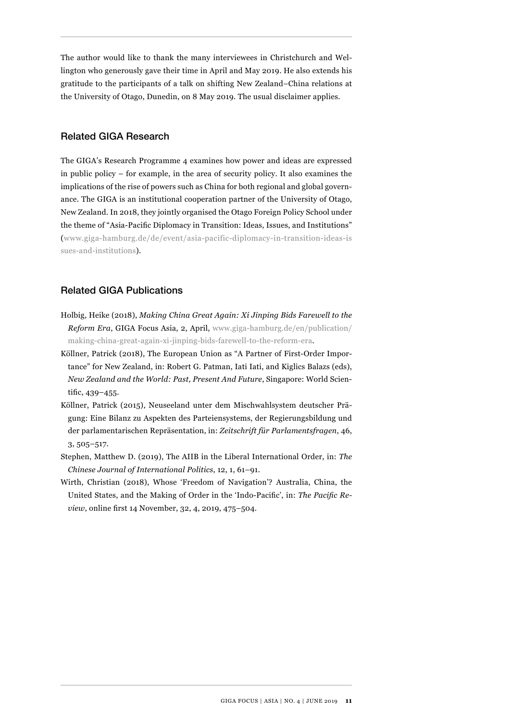The author would like to thank the many interviewees in Christchurch and Wellington who generously gave their time in April and May 2019. He also extends his gratitude to the participants of a talk on shifting New Zealand–China relations at the University of Otago, Dunedin, on 8 May 2019. The usual disclaimer applies.

# Related GIGA Research

The GIGA's Research Programme 4 examines how power and ideas are expressed in public policy – for example, in the area of security policy. It also examines the implications of the rise of powers such as China for both regional and global governance. The GIGA is an institutional cooperation partner of the University of Otago, New Zealand. In 2018, they jointly organised the Otago Foreign Policy School under the theme of "Asia-Pacific Diplomacy in Transition: Ideas, Issues, and Institutions" ([www.giga-hamburg.de/de/event/asia-pacific-diplomacy-in-transition-ideas-is](http://www.giga-hamburg.de/de/event/asia-pacific-diplomacy-in-transition-ideas-issues-and-institutions)  [sues-and-institutions](http://www.giga-hamburg.de/de/event/asia-pacific-diplomacy-in-transition-ideas-issues-and-institutions)).

# Related GIGA Publications

- Holbig, Heike (2018), *Making China Great Again: Xi Jinping Bids Farewell to the Reform Era*, GIGA Focus Asia, 2, April, [www.giga-hamburg.de/en/publication/](http://www.giga-hamburg.de/en/publication/making-china-great-again-xi-jinping-bids-farewell-to-the-reform-era) [making-china-great-again-xi-jinping-bids-farewell-to-the-reform-era.](http://www.giga-hamburg.de/en/publication/making-china-great-again-xi-jinping-bids-farewell-to-the-reform-era)
- Köllner, Patrick (2018), The European Union as "A Partner of First-Order Importance" for New Zealand, in: Robert G. Patman, Iati Iati, and Kiglics Balazs (eds), *New Zealand and the World: Past, Present And Future*, Singapore: World Scientific, 439–455.
- Köllner, Patrick (2015), Neuseeland unter dem Mischwahlsystem deutscher Prägung: Eine Bilanz zu Aspekten des Parteiensystems, der Regierungsbildung und der parlamentarischen Repräsentation, in: *Zeitschrift für Parlamentsfragen*, 46, 3, 505–517.
- Stephen, Matthew D. (2019), The AIIB in the Liberal International Order, in: *The Chinese Journal of International Politics*, 12, 1, 61–91.
- Wirth, Christian (2018), Whose 'Freedom of Navigation'? Australia, China, the United States, and the Making of Order in the 'Indo-Pacific', in: *The Pacific Review*, online first 14 November, 32, 4, 2019, 475–504.